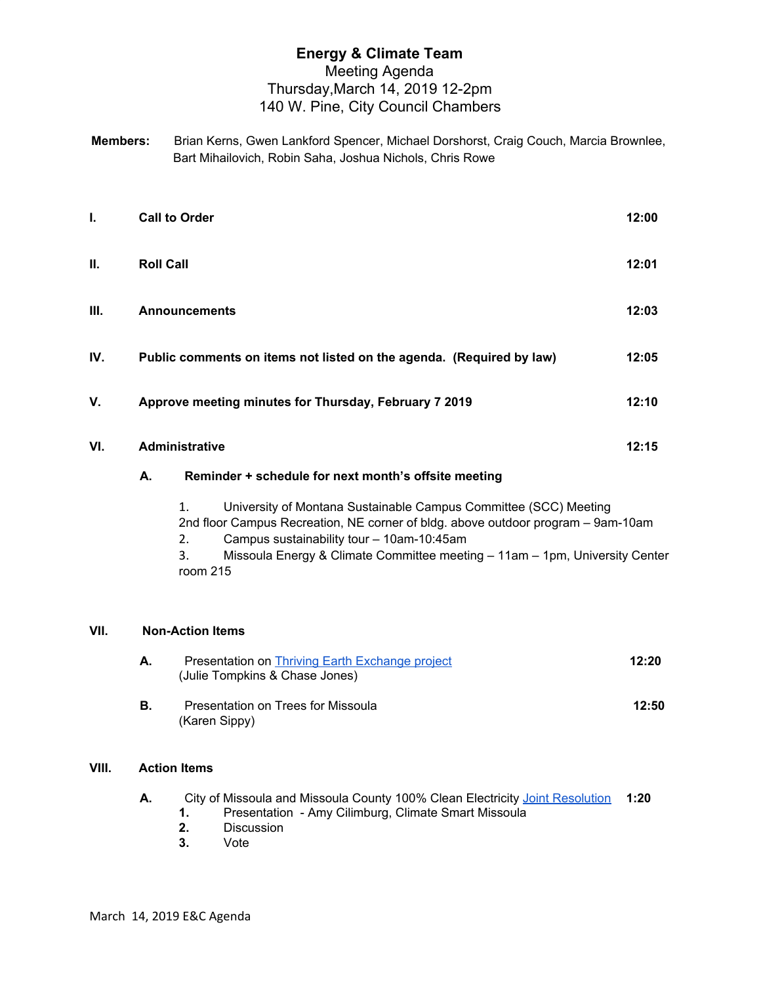## **Energy & Climate Team** Meeting Agenda Thursday,March 14, 2019 12-2pm 140 W. Pine, City Council Chambers

**Members:** Brian Kerns, Gwen Lankford Spencer, Michael Dorshorst, Craig Couch, Marcia Brownlee, Bart Mihailovich, Robin Saha, Joshua Nichols, Chris Rowe

| L.   |                                                                                                                                                                                                                                                                                                    | <b>Call to Order</b>                                 |                                                                      | 12:00 |  |  |
|------|----------------------------------------------------------------------------------------------------------------------------------------------------------------------------------------------------------------------------------------------------------------------------------------------------|------------------------------------------------------|----------------------------------------------------------------------|-------|--|--|
| Ш.   |                                                                                                                                                                                                                                                                                                    | <b>Roll Call</b>                                     |                                                                      | 12:01 |  |  |
| III. |                                                                                                                                                                                                                                                                                                    | <b>Announcements</b>                                 |                                                                      | 12:03 |  |  |
| IV.  |                                                                                                                                                                                                                                                                                                    |                                                      | Public comments on items not listed on the agenda. (Required by law) | 12:05 |  |  |
| V.   |                                                                                                                                                                                                                                                                                                    |                                                      | Approve meeting minutes for Thursday, February 7 2019                | 12:10 |  |  |
| VI.  | <b>Administrative</b>                                                                                                                                                                                                                                                                              |                                                      |                                                                      |       |  |  |
|      | А.                                                                                                                                                                                                                                                                                                 | Reminder + schedule for next month's offsite meeting |                                                                      |       |  |  |
|      | University of Montana Sustainable Campus Committee (SCC) Meeting<br>1.<br>2nd floor Campus Recreation, NE corner of bldg. above outdoor program - 9am-10am<br>Campus sustainability tour - 10am-10:45am<br>2.<br>Missoula Energy 8. Climate Committee meeting - 11am - 1pm Ilniversity Center<br>2 |                                                      |                                                                      |       |  |  |

3. Missoula Energy & Climate Committee meeting – 11am – 1pm, University Center room 215

## **VII. Non-Action Items**

| А. | Presentation on Thriving Earth Exchange project<br>(Julie Tompkins & Chase Jones) | 12:20 |
|----|-----------------------------------------------------------------------------------|-------|
| В. | Presentation on Trees for Missoula<br>(Karen Sippy)                               | 12:50 |

## **VIII. Action Items**

|  |  | City of Missoula and Missoula County 100% Clean Electricity Joint Resolution | 1:20 |
|--|--|------------------------------------------------------------------------------|------|
|  |  | Presentation - Amy Cilimburg, Climate Smart Missoula                         |      |

- **2.** Discussion
- **3.** Vote